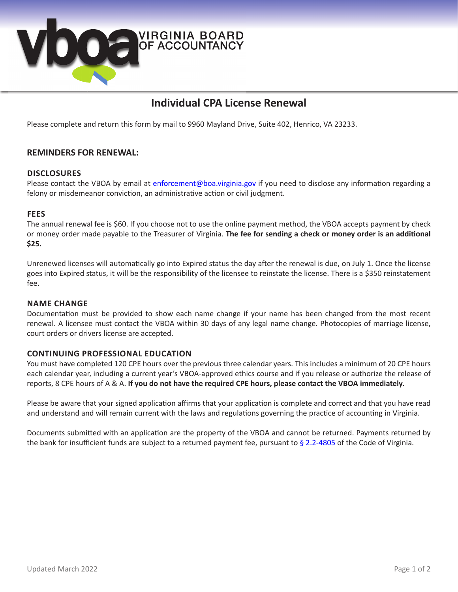

# **Individual CPA License Renewal**

Please complete and return this form by mail to 9960 Mayland Drive, Suite 402, Henrico, VA 23233.

### **REMINDERS FOR RENEWAL:**

#### **DISCLOSURES**

Please contact the VBOA by email at enforcemen[t@boa.virginia.gov](mailto:boa%40boa.virginia.gov?subject=) if you need to disclose any information regarding a felony or misdemeanor conviction, an administrative action or civil judgment.

#### **FEES**

The annual renewal fee is \$60. If you choose not to use the online payment method, the VBOA accepts payment by check or money order made payable to the Treasurer of Virginia. **The fee for sending a check or money order is an additional \$25.**

Unrenewed licenses will automatically go into Expired status the day after the renewal is due, on July 1. Once the license goes into Expired status, it will be the responsibility of the licensee to reinstate the license. There is a \$350 reinstatement fee.

#### **NAME CHANGE**

Documentation must be provided to show each name change if your name has been changed from the most recent renewal. A licensee must contact the VBOA within 30 days of any legal name change. Photocopies of marriage license, court orders or drivers license are accepted.

### **CONTINUING PROFESSIONAL EDUCATION**

You must have completed 120 CPE hours over the previous three calendar years. This includes a minimum of 20 CPE hours each calendar year, including a current year's VBOA-approved ethics course and if you release or authorize the release of reports, 8 CPE hours of A & A. **If you do not have the required CPE hours, please contact the VBOA immediately.** 

Please be aware that your signed application affirms that your application is complete and correct and that you have read and understand and will remain current with the laws and regulations governing the practice of accounting in Virginia.

Documents submitted with an application are the property of the VBOA and cannot be returned. Payments returned by the bank for insufficient funds are subject to a returned payment fee, pursuant to [§ 2.2-4805](http://law.lis.virginia.gov/vacode/title2.2/chapter48/section2.2-4805/) of the Code of Virginia.